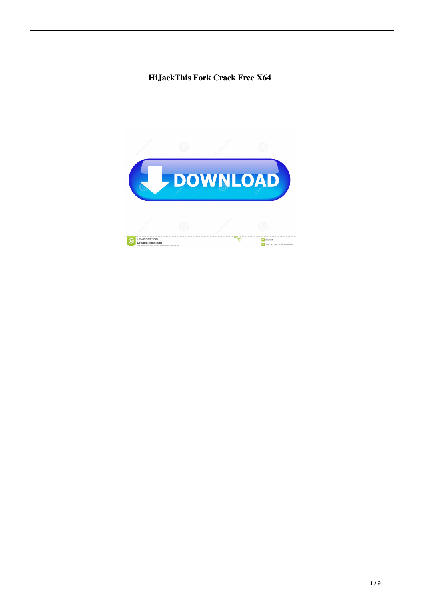## **HiJackThis Fork Crack Free X64**

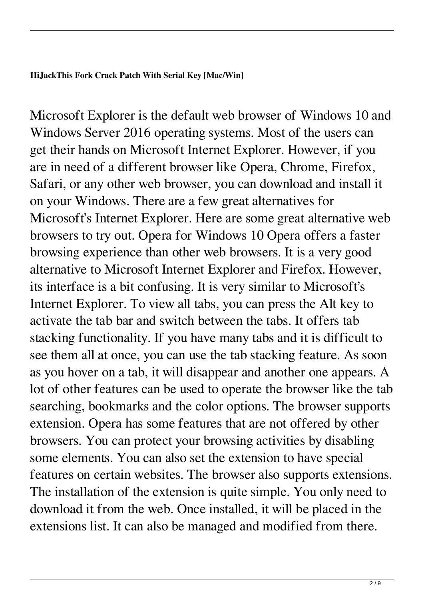Microsoft Explorer is the default web browser of Windows 10 and Windows Server 2016 operating systems. Most of the users can get their hands on Microsoft Internet Explorer. However, if you are in need of a different browser like Opera, Chrome, Firefox, Safari, or any other web browser, you can download and install it on your Windows. There are a few great alternatives for Microsoft's Internet Explorer. Here are some great alternative web browsers to try out. Opera for Windows 10 Opera offers a faster browsing experience than other web browsers. It is a very good alternative to Microsoft Internet Explorer and Firefox. However, its interface is a bit confusing. It is very similar to Microsoft's Internet Explorer. To view all tabs, you can press the Alt key to activate the tab bar and switch between the tabs. It offers tab stacking functionality. If you have many tabs and it is difficult to see them all at once, you can use the tab stacking feature. As soon as you hover on a tab, it will disappear and another one appears. A lot of other features can be used to operate the browser like the tab searching, bookmarks and the color options. The browser supports extension. Opera has some features that are not offered by other browsers. You can protect your browsing activities by disabling some elements. You can also set the extension to have special features on certain websites. The browser also supports extensions. The installation of the extension is quite simple. You only need to download it from the web. Once installed, it will be placed in the extensions list. It can also be managed and modified from there.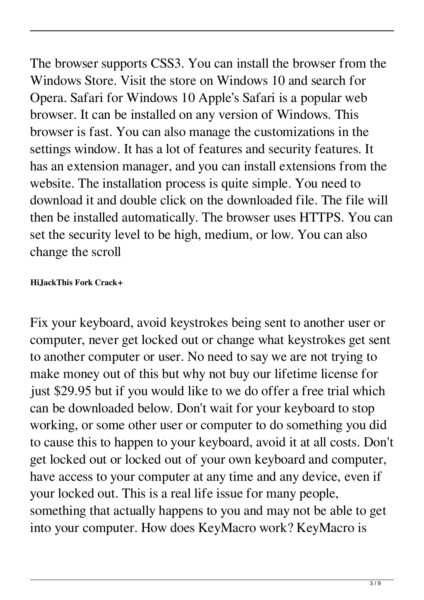The browser supports CSS3. You can install the browser from the Windows Store. Visit the store on Windows 10 and search for Opera. Safari for Windows 10 Apple's Safari is a popular web browser. It can be installed on any version of Windows. This browser is fast. You can also manage the customizations in the settings window. It has a lot of features and security features. It has an extension manager, and you can install extensions from the website. The installation process is quite simple. You need to download it and double click on the downloaded file. The file will then be installed automatically. The browser uses HTTPS. You can set the security level to be high, medium, or low. You can also change the scroll

## **HiJackThis Fork Crack+**

Fix your keyboard, avoid keystrokes being sent to another user or computer, never get locked out or change what keystrokes get sent to another computer or user. No need to say we are not trying to make money out of this but why not buy our lifetime license for just \$29.95 but if you would like to we do offer a free trial which can be downloaded below. Don't wait for your keyboard to stop working, or some other user or computer to do something you did to cause this to happen to your keyboard, avoid it at all costs. Don't get locked out or locked out of your own keyboard and computer, have access to your computer at any time and any device, even if your locked out. This is a real life issue for many people, something that actually happens to you and may not be able to get into your computer. How does KeyMacro work? KeyMacro is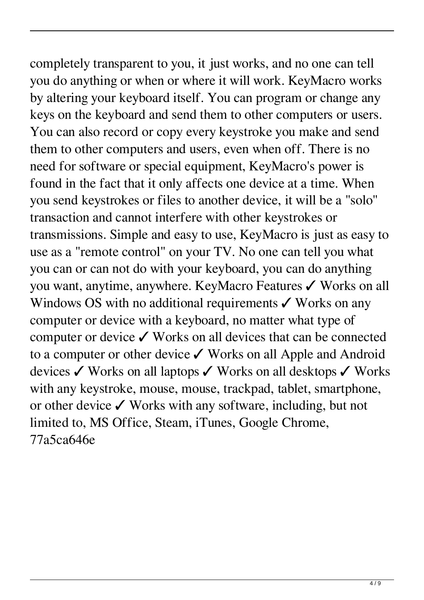completely transparent to you, it just works, and no one can tell you do anything or when or where it will work. KeyMacro works by altering your keyboard itself. You can program or change any keys on the keyboard and send them to other computers or users. You can also record or copy every keystroke you make and send them to other computers and users, even when off. There is no need for software or special equipment, KeyMacro's power is found in the fact that it only affects one device at a time. When you send keystrokes or files to another device, it will be a "solo" transaction and cannot interfere with other keystrokes or transmissions. Simple and easy to use, KeyMacro is just as easy to use as a "remote control" on your TV. No one can tell you what you can or can not do with your keyboard, you can do anything you want, anytime, anywhere. KeyMacro Features ✓ Works on all Windows OS with no additional requirements  $\checkmark$  Works on any computer or device with a keyboard, no matter what type of computer or device ✓ Works on all devices that can be connected to a computer or other device ✓ Works on all Apple and Android devices ✓ Works on all laptops ✓ Works on all desktops ✓ Works with any keystroke, mouse, mouse, trackpad, tablet, smartphone, or other device ✓ Works with any software, including, but not limited to, MS Office, Steam, iTunes, Google Chrome, 77a5ca646e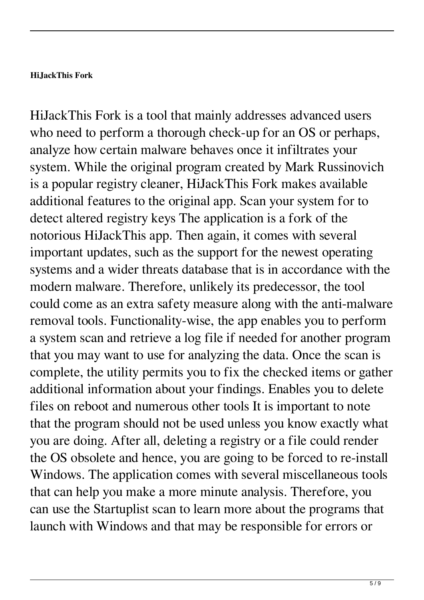## **HiJackThis Fork**

HiJackThis Fork is a tool that mainly addresses advanced users who need to perform a thorough check-up for an OS or perhaps, analyze how certain malware behaves once it infiltrates your system. While the original program created by Mark Russinovich is a popular registry cleaner, HiJackThis Fork makes available additional features to the original app. Scan your system for to detect altered registry keys The application is a fork of the notorious HiJackThis app. Then again, it comes with several important updates, such as the support for the newest operating systems and a wider threats database that is in accordance with the modern malware. Therefore, unlikely its predecessor, the tool could come as an extra safety measure along with the anti-malware removal tools. Functionality-wise, the app enables you to perform a system scan and retrieve a log file if needed for another program that you may want to use for analyzing the data. Once the scan is complete, the utility permits you to fix the checked items or gather additional information about your findings. Enables you to delete files on reboot and numerous other tools It is important to note that the program should not be used unless you know exactly what you are doing. After all, deleting a registry or a file could render the OS obsolete and hence, you are going to be forced to re-install Windows. The application comes with several miscellaneous tools that can help you make a more minute analysis. Therefore, you can use the Startuplist scan to learn more about the programs that launch with Windows and that may be responsible for errors or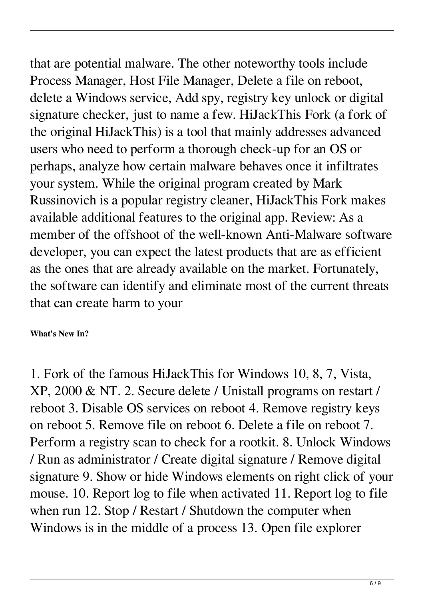that are potential malware. The other noteworthy tools include Process Manager, Host File Manager, Delete a file on reboot, delete a Windows service, Add spy, registry key unlock or digital signature checker, just to name a few. HiJackThis Fork (a fork of the original HiJackThis) is a tool that mainly addresses advanced users who need to perform a thorough check-up for an OS or perhaps, analyze how certain malware behaves once it infiltrates your system. While the original program created by Mark Russinovich is a popular registry cleaner, HiJackThis Fork makes available additional features to the original app. Review: As a member of the offshoot of the well-known Anti-Malware software developer, you can expect the latest products that are as efficient as the ones that are already available on the market. Fortunately, the software can identify and eliminate most of the current threats that can create harm to your

**What's New In?**

1. Fork of the famous HiJackThis for Windows 10, 8, 7, Vista, XP, 2000 & NT. 2. Secure delete / Unistall programs on restart / reboot 3. Disable OS services on reboot 4. Remove registry keys on reboot 5. Remove file on reboot 6. Delete a file on reboot 7. Perform a registry scan to check for a rootkit. 8. Unlock Windows / Run as administrator / Create digital signature / Remove digital signature 9. Show or hide Windows elements on right click of your mouse. 10. Report log to file when activated 11. Report log to file when run 12. Stop / Restart / Shutdown the computer when Windows is in the middle of a process 13. Open file explorer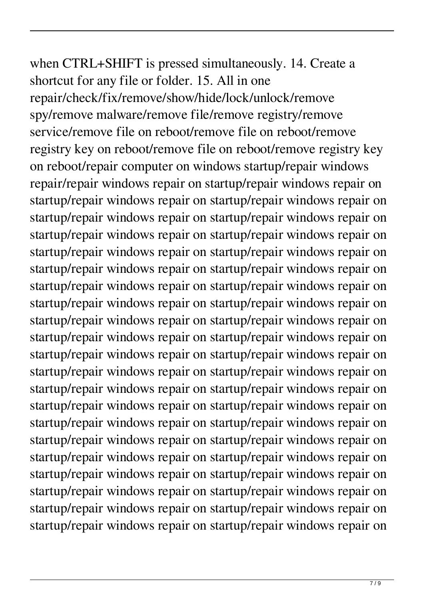when CTRL+SHIFT is pressed simultaneously. 14. Create a shortcut for any file or folder. 15. All in one repair/check/fix/remove/show/hide/lock/unlock/remove spy/remove malware/remove file/remove registry/remove service/remove file on reboot/remove file on reboot/remove registry key on reboot/remove file on reboot/remove registry key on reboot/repair computer on windows startup/repair windows repair/repair windows repair on startup/repair windows repair on startup/repair windows repair on startup/repair windows repair on startup/repair windows repair on startup/repair windows repair on startup/repair windows repair on startup/repair windows repair on startup/repair windows repair on startup/repair windows repair on startup/repair windows repair on startup/repair windows repair on startup/repair windows repair on startup/repair windows repair on startup/repair windows repair on startup/repair windows repair on startup/repair windows repair on startup/repair windows repair on startup/repair windows repair on startup/repair windows repair on startup/repair windows repair on startup/repair windows repair on startup/repair windows repair on startup/repair windows repair on startup/repair windows repair on startup/repair windows repair on startup/repair windows repair on startup/repair windows repair on startup/repair windows repair on startup/repair windows repair on startup/repair windows repair on startup/repair windows repair on startup/repair windows repair on startup/repair windows repair on startup/repair windows repair on startup/repair windows repair on startup/repair windows repair on startup/repair windows repair on startup/repair windows repair on startup/repair windows repair on startup/repair windows repair on startup/repair windows repair on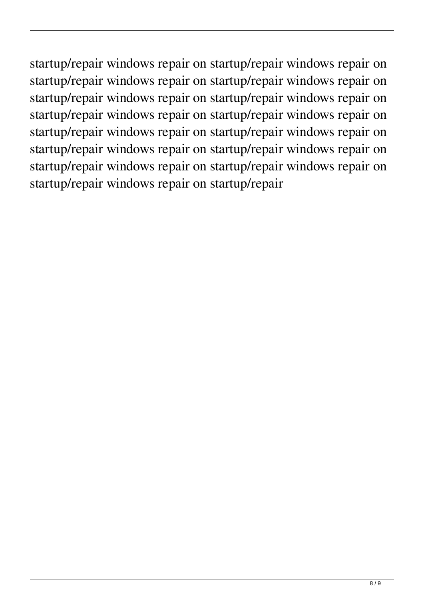startup/repair windows repair on startup/repair windows repair on startup/repair windows repair on startup/repair windows repair on startup/repair windows repair on startup/repair windows repair on startup/repair windows repair on startup/repair windows repair on startup/repair windows repair on startup/repair windows repair on startup/repair windows repair on startup/repair windows repair on startup/repair windows repair on startup/repair windows repair on startup/repair windows repair on startup/repair